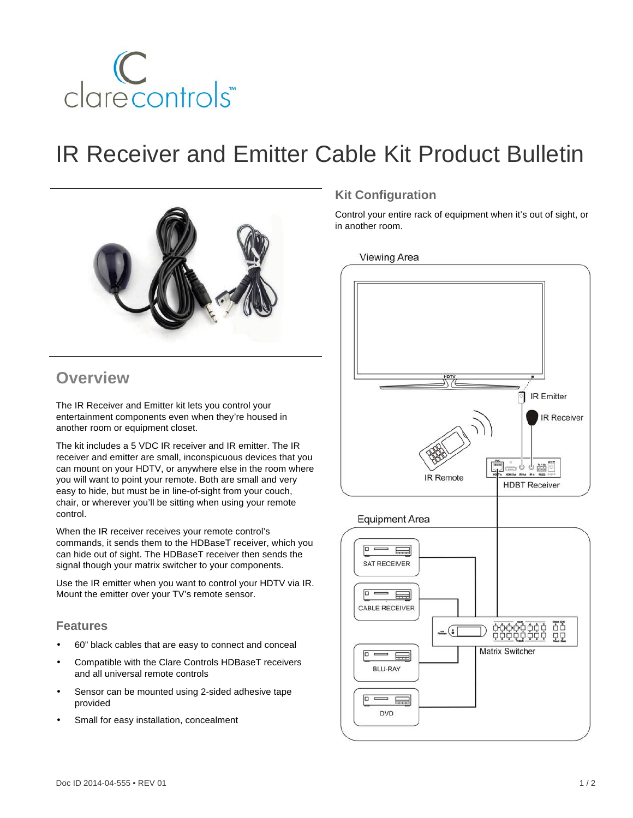

# IR Receiver and Emitter Cable Kit Product Bulletin



### **Overview**

The IR Receiver and Emitter kit lets you control your entertainment components even when they're housed in another room or equipment closet.

The kit includes a 5 VDC IR receiver and IR emitter. The IR receiver and emitter are small, inconspicuous devices that you can mount on your HDTV, or anywhere else in the room where you will want to point your remote. Both are small and very easy to hide, but must be in line-of-sight from your couch, chair, or wherever you'll be sitting when using your remote control.

When the IR receiver receives your remote control's commands, it sends them to the HDBaseT receiver, which you can hide out of sight. The HDBaseT receiver then sends the signal though your matrix switcher to your components.

Use the IR emitter when you want to control your HDTV via IR. Mount the emitter over your TV's remote sensor.

#### **Features**

- 60" black cables that are easy to connect and conceal
- Compatible with the Clare Controls HDBaseT receivers and all universal remote controls
- Sensor can be mounted using 2-sided adhesive tape provided
- Small for easy installation, concealment

#### **Kit Configuration**

Control your entire rack of equipment when it's out of sight, or in another room.